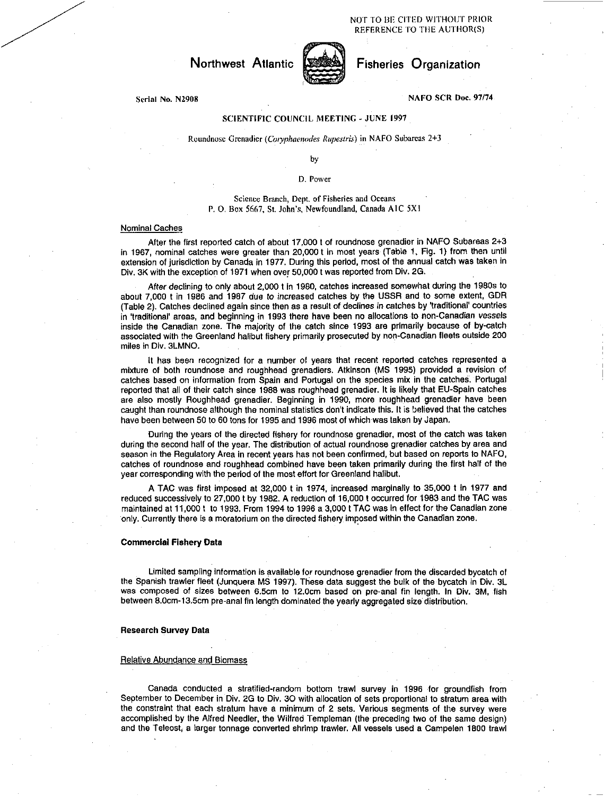

# Serial No. N2908 NAFO SCR Doc. 97/74

## SCIENTIFIC COUNCIL MEETING - JUNE 1997

### Roundnose Grenadier *(Cotyphaenodes Rupesiris)* in NAFO Subareas 2+3

by

### D. Power

# Science Branch, Dept. of Fisheries and Oceans P. 0. Box 5667, St. John's, Newfoundland, Canada AIC 5X1

### Nominal Caches

After the first reported catch of about 17,000 t of roundnose grenadier in NAFO Subareas 2+3 in 1967, nominal catches were greater than 20,000 t in most years (Table 1, Fig. 1) from then until extension of jurisdiction by Canada in 1977. During this period, most of the annual catch was taken in Div. 3K with the exception of 1971 when over 50,000 t was reported from Div. 2G. •

After declining to only about 2,000 t in 1980, catches increased somewhat during the 1980s to about 7,000 t in 1986 and 1987 due to increased catches by the USSR and to some extent, GDR (Table 2). Catches declined again since then as a result of declines *in* catches by 'traditional' countries in 'traditional' areas, and beginning in 1993 there have been no allocations to non-Canadian vessels inside the Canadian zone. The majority of the catch since 1993 are primarily because of by-catch associated with the Greenland halibut fishery primarily prosecuted by non-Canadian fleets outside 200 miles in Div. 3LMNO.

It has been recognized for a number of years that recent reported catches represented a mixture of both roundnose and roughhead grenadiers. Atkinson (MS 1995) provided a revision of catches based on information from Spain and Portugal on the species mix in the catches. Portugal reported that all of their catch since 1988 was roughhead grenadier. It is likely that EU-Spain catches are also mostly Roughhead grenadier. Beginning in 1990, more roughhead grenadier have been caught than roundnose although the nominal statistics don't indicate this. It is believed that the catches have been between 50 to 60 tons for 1995 and 1996 most of which was taken by Japan.

During the years of the directed fishery for roundnose grenadier, most of the catch was taken during the second half of the year. The distribution of actual roundnose grenadier catches by area and season in the Regulatory Area in recent years has not been confirmed, but based on reports to NAFO, catches of roundnose and roughhead combined have been taken primarily during the first half of the year corresponding with the period of the most effort for Greenland halibut.

A TAC was first imposed at 32,000 t in 1974, increased marginally to 35,000 t in 1977 and reduced successively to 27,000 t by 1982. A reduction of 16,000 t occurred for 1983 and the TAC was maintained at 11,000 t to 1993. From 1994 to 1996 a 3,000 t TAC was in effect for the Canadian zone only. Currently there is a moratorium on the directed fishery imposed within the Canadian zone.

## **Commercial Fishery Data**

Limited sampling information is available for roundnose grenadier from the discarded bycatch of the Spanish trawler fleet (Junquera MS 1997). These data suggest the bulk of the bycatch in Div. 3L was composed of sizes between 6.5cm to 12.0cm based on pre-anal fin length. In Div. 3M, fish between 8.0cm-13.5cm pre-anal fin length dominated the yearly aggregated size distribution.

### **Research Survey Data**

#### Relative Abundance and Biomass

Canada conducted a stratified-random bottom trawl survey in 1996 •for groundfish from September to December in Div. 2G to Div. 30 with allocation of sets proportional to stratum area with the constraint that each stratum have a minimum of 2 sets. Various segments of the survey were accomplished by the Alfred Needier, the Wilfred Templeman (the preceding two of the same design) and the Teleost, a larger tonnage converted shrimp trawler. All vessels used a Campelen 1800 trawl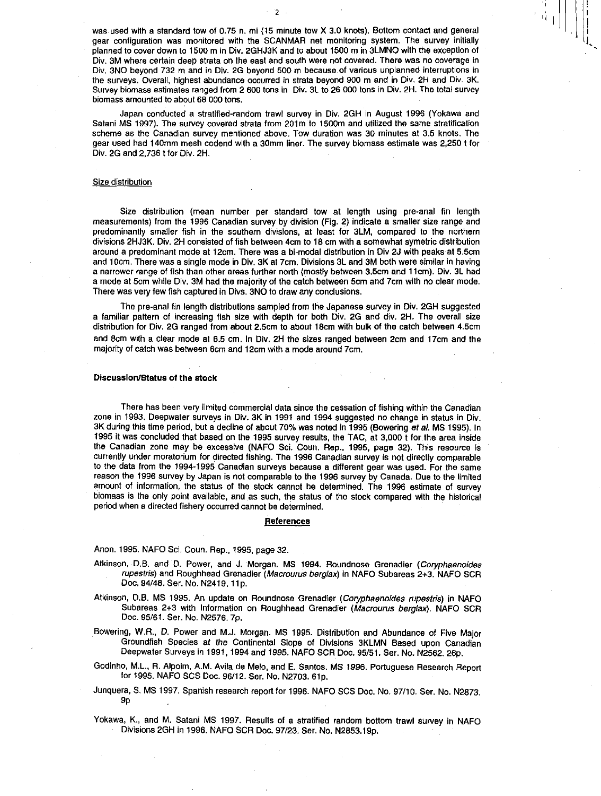was used with a standard tow of 0.75 n. mi (15 minute tow X 3.0 knots). Bottom contact and general gear configuration was monitored with the SCANMAR net monitoring system. The survey initially planned to cover down to 1500 m in Div. 2GHJ3K and to about 1500 m in 3LMNO with the exception of Div. 3M where certain deep strata on the east and south were not covered. There was no coverage in Div. 3NO beyond 732 m and in Div. 2G beyond 500 m because of various unplanned interruptions in the surveys. Overall, highest abundance occurred in strata beyond 900 m and in Div. 2H and Div. 3K. Survey biomass estimates ranged from 2 600 tons in Div. 3L to 26 000 tons in Div. 2H. The total survey biomass amounted to about 68 000 tons.

 $2 -$ 

Japan conducted a stratified-random trawl survey in Div. 2GH in August 1996 (Yokawa and Satani MS 1997). The survey covered strata from 201m to 1500m and utilized the same stratification scheme as the Canadian survey mentioned above. Tow duration was 30 minutes at 3.5 knots. The gear used had 140mm mesh codend with a 30mm liner. The survey biomass estimate was 2,250 t for Div. 2G and 2,736 t for Div. 2H.

### Size distribution

Size distribution (mean number per standard tow at length using pre-anal fin length measurements) from the 1996 Canadian survey by division (Fig. 2) indicate a smaller size range and predominantly smaller fish in the southern divisions, at least for 3LM, compared to the northern divisions 2HJ3K. Div. 211 consisted of fish between 4cm to 18 cm with a somewhat symetric distribution around a predominant mode at 12cm. There was a bi-modal distribution in Div 2J with peaks at 5.5cm and 10cm. There was a single mode in Div. 3K at 7cm. Divisions 3L and 3M both were similar in having a narrower range of fish than other areas further north (mostly between 3.5cm and 11cm). Div. 3L had a mode at 5cm while Div. 3M had the majority of the catch between 5cm and 7cm with no clear mode. There was very few fish captured in Divs. 3NO to draw any conclusions.

The pre-anal fin length distributions sampled from the Japanese survey in Div. 2GH suggested a familiar pattern of increasing fish size with depth for both Div. 2G and div. 2H. The overall size distribution for Div. 2G ranged from about 2.5cm to about 18cm with bulk of the catch between 4.5cm and 8cm with a clear mode at 6.5 cm. In Div. 2H the sizes ranged between 2cm and 17cm and the majority of catch was between 6cm and 12cm with a mode around 7cm.

### **Discussion/Status of the stock**

There has been very limited commercial data since the cessation of fishing within the Canadian zone in 1993. Deepwater surveys in Div. 3K in 1991 and 1994 suggested no change in status in Div. 3K during this time period, but a decline of about 70% was noted In 1995 (Bowering *at at.* MS 1995). In 1995 it was concluded that based on the 1995 survey results, the TAC, at 3,000 t for the area inside the Canadian zone may be excessive (NAFO Sci. Coun. Rep., 1995, page 32). This resource is currently under moratorium for directed fishing. The 1996 Canadian survey is not directly comparable to the data from the 1994-1995 Canadian surveys because a different gear was used. For the same reason the 1996 survey by Japan is not comparable to the 1996 survey by Canada. Due to the limited amount of information, the status of the stock cannot be determined. The 1996 estimate of survey biomass is the only point available, and as such, the status of the stock compared with the historical period when a directed fishery occurred cannot be determined.

#### **References**

Anon. 1995. NAFO Sci. Coun. Rep., 1995, page 32.

- Atkinson, D.B. and D. Power, and J. Morgan. MS 1994. Roundnose Grenadier *(Coryphaenoides rupestris)* and Roughhead Grenadier *(Macrourus berglax)* in NAFO Subareas 2+3. NAFO SCR Doc. 94/48. Ser. No. N2419. 11p.
- Atkinson, D.B. MS 1995. An update on Roundnose Grenadier *(Coryphaenoides rupestris)* in NAFO Subareas 2+3 with Information on Roughhead Grenadier *(Macrourus berglax).* NAFO SCR Doc. 95/61. Ser. No. N2576. 7p.
- Bowering, **W.R., D.** Power and M.J. Morgan. MS 1995. Distribution and Abundance of Five Major Groundfish Species at the Continental Slope of Divisions 3KLMN Based upon Canadian Deepwater Surveys in 1991, 1994 and 1995. NAFO SCR Doc. 95/51. Ser. No. N2562. 26p.
- Godinho, M.L., R. Alpoim, A.M. Avila de Melo, and E. Santos. MS 1996. Portuguese Research Report for 1995. NAFO SCS Doc. 96/12. Ser. No. N2703. 61p.
- Junquera, S. MS 1997. Spanish research report for 1996. NAFO SCS Doc. No. 97/10. Ser. No. N2873. 9p
- Yokawa, K., and M. Satani MS 1997. Results of a stratified random bottom trawl survey in NAFO Divisions 2311 in 1996. NAFO SCR Doc. 97/23. Ser. No. N2853.19p.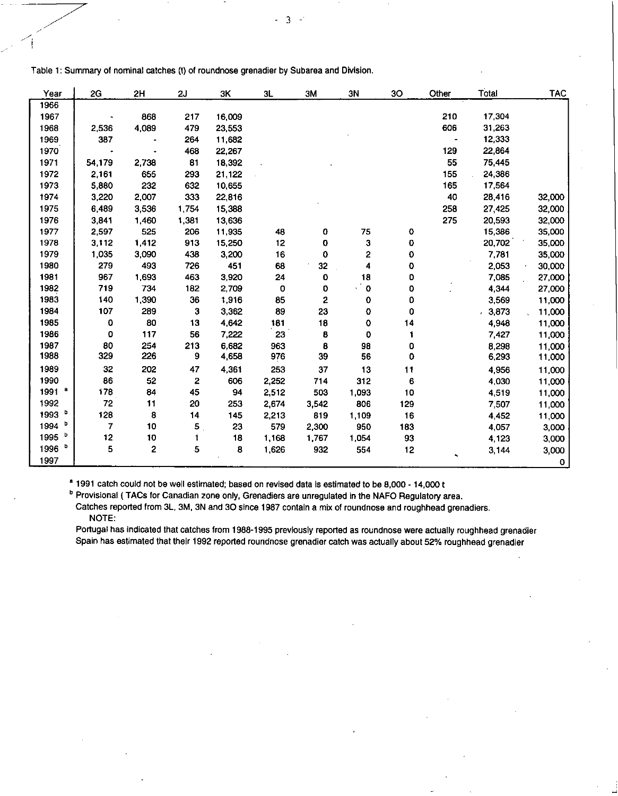| Year      | 2G     | 2H    | 2J             | ЗK     | 3L    | 3M    | 3N          | 30  | Other | Total  | <b>TAC</b> |
|-----------|--------|-------|----------------|--------|-------|-------|-------------|-----|-------|--------|------------|
| 1966      |        |       |                |        |       |       |             |     |       |        |            |
| 1967      |        | 868   | 217            | 16,009 |       |       |             |     | 210   | 17,304 |            |
| 1968      | 2,536  | 4,089 | 479            | 23,553 |       |       |             |     | 606   | 31,263 |            |
| 1969      | 387    |       | 264            | 11,682 |       |       |             |     |       | 12,333 |            |
| 1970      |        |       | 468            | 22,267 |       |       |             |     | 129   | 22,864 |            |
| 1971      | 54,179 | 2,738 | 81             | 18,392 |       |       |             |     | 55    | 75,445 |            |
| 1972      | 2,161  | 655   | 293            | 21,122 |       |       |             |     | 155   | 24,386 |            |
| 1973      | 5,880  | 232   | 632            | 10,655 |       |       |             |     | 165   | 17,564 |            |
| 1974      | 3,220  | 2,007 | 333            | 22,816 |       |       |             |     | 40    | 28,416 | 32,000     |
| 1975      | 6,489  | 3,536 | 1,754          | 15,388 |       |       |             |     | 258   | 27,425 | 32,000     |
| 1976      | 3,841  | 1,460 | 1,381          | 13,636 |       |       |             |     | 275   | 20,593 | 32,000     |
| 1977      | 2,597  | 525   | 206            | 11,935 | 48    | 0     | 75          | 0   |       | 15,386 | 35,000     |
| 1978      | 3,112  | 1,412 | 913            | 15,250 | 12    | 0     | з           | 0   |       | 20,702 | 35,000     |
| 1979      | 1,035  | 3,090 | 438            | 3,200  | 16    | 0     | 2           | 0   |       | 7,781  | 35,000     |
| 1980      | 279    | 493   | 726            | 451    | 68    | 32    | 4           | 0   |       | 2,053  | 30,000     |
| 1981      | 967    | 1,693 | 463            | 3,920  | 24    | 0     | 18          | 0   |       | 7,085  | 27,000     |
| 1982      | 719    | 734   | 182            | 2,709  | 0     | 0     | $\mathbf 0$ | 0   |       | 4,344  | 27,000     |
| 1983      | 140    | 1,390 | 36             | 1,916  | 85    | 2     | 0           | 0   |       | 3,569  | 11,000     |
| 1984      | 107    | 289   | з              | 3,362  | 89    | 23    | 0           | 0   |       | 3,873  | 11,000     |
| 1985      | 0      | 80    | 13             | 4,642  | 181   | 18    | 0           | 14  |       | 4,948  | 11,000     |
| 1986      | 0      | 117   | 56             | 7,222  | 23    | 8     | 0           | 1   |       | 7,427  | 11,000     |
| 1987      | 80     | 254   | 213            | 6,682  | 963   | 8     | 98          | 0   |       | 8,298  | 11,000     |
| 1988      | 329    | 226   | 9              | 4,658  | 976   | 39    | 56          | 0   |       | 6,293  | 11,000     |
| 1989      | 32     | 202   | 47             | 4,361  | 253   | 37    | 13          | 11  |       | 4,956  | 11,000     |
| 1990      | 86     | 52    | 2              | 606    | 2,252 | 714   | 312         | 6   |       | 4,030  | 11,000     |
| a<br>1991 | 178    | 84    | 45             | 94     | 2,512 | 503   | 1,093       | 10  |       | 4,519  | 11,000     |
| 1992      | 72     | 11    | 20             | 253    | 2,674 | 3,542 | 806         | 129 |       | 7,507  | 11,000     |
| b<br>1993 | 128    | 8     | 14             | 145    | 2,213 | 819   | 1,109       | 16  |       | 4,452  | 11,000     |
| b<br>1994 | 7      | 10    | 5 <sub>1</sub> | 23     | 579   | 2,300 | 950         | 183 |       | 4,057  | 3,000      |
| b<br>1995 | 12     | 10    | 1              | 18     | 1,168 | 1,767 | 1,054       | 93  |       | 4,123  | 3,000      |
| 1996 b    | 5      | 2     | 5              | 8      | 1,626 | 932   | 554         | 12  |       | 3,144  | 3,000      |
| 1997      |        |       |                |        |       |       |             |     |       |        | O          |

Table 1: Summary of nominal catches (t) of roundnose grenadier by Subarea and Division.

**<sup>a</sup>**1991 catch could not be well estimated; based on revised data Is estimated to be 8,000 - 14,000 t

**b** Provisional ( TACs for Canadian zone only, Grenadiers are unregulated in the NAFO Regulatory area. Catches reported from 3L, 3M, 3N and 30 since 1987 contain a mix of roundnose and roughhead grenadiers. NOTE:

Portugal has indicated that catches from 1988-1995 previously reported as roundnose were actually roughhead grenadier Spain has estimated that their 1992 reported roundnose grenadier catch was actually about 52% roughhead grenadier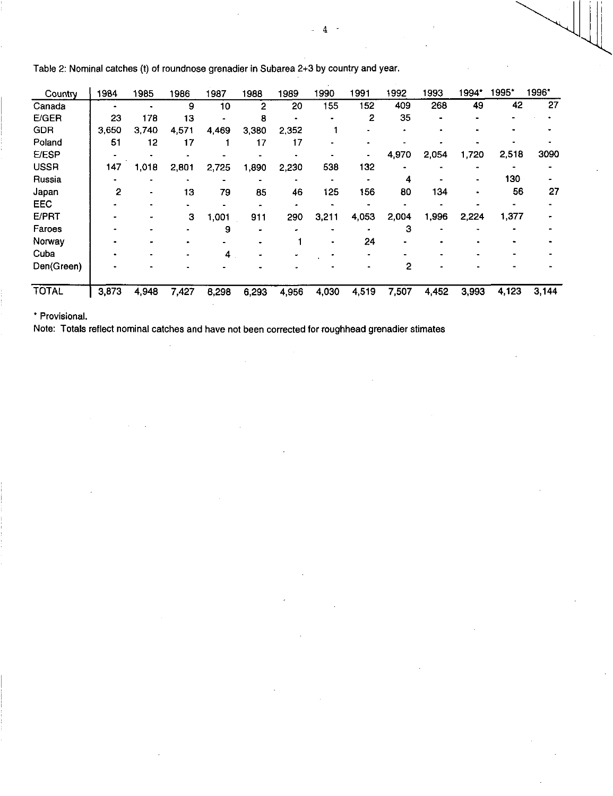| Country      | 1984  | 1985  | 1986  | 1987  | 1988  | 1989  | 1990  | 1991  | 1992  | 1993  | 994 <sup>-</sup> | 1995* | 1996* |
|--------------|-------|-------|-------|-------|-------|-------|-------|-------|-------|-------|------------------|-------|-------|
| Canada       |       |       | 9     | 10    | 2     | 20    | 155   | 152   | 409   | 268   | 49               | 42    | 27    |
| E/GER        | 23    | 178   | 13    |       | 8     |       |       | 2     | 35    |       |                  |       |       |
| <b>GDR</b>   | 3,650 | 3.740 | 4,571 | 4,469 | 3,380 | 2,352 |       |       |       |       |                  |       |       |
| Poland       | 51    | 12    | 17    |       | 17    | 17    |       |       |       |       |                  |       |       |
| <b>E/ESP</b> |       |       |       |       |       |       |       |       | 4,970 | 2,054 | 1,720            | 2,518 | 3090  |
| <b>USSR</b>  | 147   | 1,018 | 2,801 | 2,725 | 1.890 | 2,230 | 538   | 132   |       |       |                  |       |       |
| Russia       |       |       |       |       |       |       |       |       | 4     |       |                  | 130   |       |
| Japan        | 2     |       | 13    | 79    | 85    | 46    | 125   | 156   | 80    | 134   |                  | 56    | 27    |
| EEC          |       |       |       |       |       |       |       |       |       |       |                  |       |       |
| <b>E/PRT</b> |       |       | З     | 1,001 | 911   | 290   | 3,211 | 4,053 | 2,004 | 1,996 | 2,224            | 1,377 |       |
| Faroes       |       |       |       | 9     |       |       |       |       | 3     |       |                  |       |       |
| Norway       |       |       |       |       |       |       |       | 24    |       |       |                  |       |       |
| Cuba         |       |       |       | 4     |       |       |       |       |       |       |                  |       |       |
| Den(Green)   |       |       |       |       |       |       |       |       | 2     |       |                  |       |       |
| <b>TOTAL</b> | 3,873 | 4,948 | 7,427 | 8,298 | 6,293 | 4,956 | 4,030 | 4,519 | 7,507 | 4,452 | 3,993            | 4,123 | 3,144 |

Table 2: Nominal catches (t) of roundnose grenadier in Subarea 2+3 by country and year.

\* Provisional.

Note: Totals reflect nominal catches and have not been corrected for roughhead grenadier stimates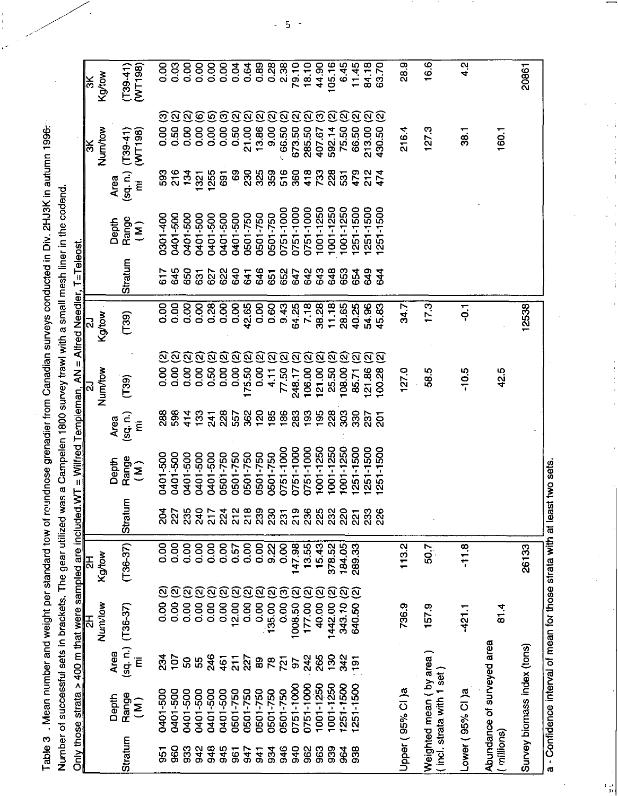Table 3 . Mean number and weight per standard tow of roundnose grenadier from Canadian surveys conducted in Div. 2HJ3K in autumn 1996.

| reading the contract of the contract of the contract of the contract of the contract of the contract of the contract of the contract of the contract of the contract of the contract of the contract of the contract of the co |                                                                                       |  |
|--------------------------------------------------------------------------------------------------------------------------------------------------------------------------------------------------------------------------------|---------------------------------------------------------------------------------------|--|
|                                                                                                                                                                                                                                |                                                                                       |  |
|                                                                                                                                                                                                                                |                                                                                       |  |
|                                                                                                                                                                                                                                |                                                                                       |  |
|                                                                                                                                                                                                                                |                                                                                       |  |
|                                                                                                                                                                                                                                |                                                                                       |  |
|                                                                                                                                                                                                                                |                                                                                       |  |
|                                                                                                                                                                                                                                |                                                                                       |  |
|                                                                                                                                                                                                                                |                                                                                       |  |
|                                                                                                                                                                                                                                |                                                                                       |  |
|                                                                                                                                                                                                                                |                                                                                       |  |
|                                                                                                                                                                                                                                |                                                                                       |  |
|                                                                                                                                                                                                                                |                                                                                       |  |
|                                                                                                                                                                                                                                |                                                                                       |  |
|                                                                                                                                                                                                                                |                                                                                       |  |
|                                                                                                                                                                                                                                |                                                                                       |  |
|                                                                                                                                                                                                                                |                                                                                       |  |
|                                                                                                                                                                                                                                |                                                                                       |  |
|                                                                                                                                                                                                                                |                                                                                       |  |
|                                                                                                                                                                                                                                |                                                                                       |  |
|                                                                                                                                                                                                                                |                                                                                       |  |
|                                                                                                                                                                                                                                |                                                                                       |  |
|                                                                                                                                                                                                                                |                                                                                       |  |
|                                                                                                                                                                                                                                | gear utilized was a Campelen 1800 survey trawl with a small mesh liner in the codend. |  |
|                                                                                                                                                                                                                                |                                                                                       |  |
|                                                                                                                                                                                                                                |                                                                                       |  |
|                                                                                                                                                                                                                                |                                                                                       |  |
|                                                                                                                                                                                                                                |                                                                                       |  |
|                                                                                                                                                                                                                                |                                                                                       |  |
|                                                                                                                                                                                                                                |                                                                                       |  |
|                                                                                                                                                                                                                                |                                                                                       |  |
|                                                                                                                                                                                                                                |                                                                                       |  |
|                                                                                                                                                                                                                                |                                                                                       |  |
|                                                                                                                                                                                                                                |                                                                                       |  |
|                                                                                                                                                                                                                                |                                                                                       |  |
|                                                                                                                                                                                                                                |                                                                                       |  |
|                                                                                                                                                                                                                                |                                                                                       |  |
|                                                                                                                                                                                                                                |                                                                                       |  |
|                                                                                                                                                                                                                                |                                                                                       |  |
|                                                                                                                                                                                                                                |                                                                                       |  |
|                                                                                                                                                                                                                                |                                                                                       |  |
|                                                                                                                                                                                                                                |                                                                                       |  |
|                                                                                                                                                                                                                                |                                                                                       |  |
|                                                                                                                                                                                                                                |                                                                                       |  |
|                                                                                                                                                                                                                                |                                                                                       |  |
|                                                                                                                                                                                                                                |                                                                                       |  |
|                                                                                                                                                                                                                                | umber of successful sets in brackets                                                  |  |
|                                                                                                                                                                                                                                |                                                                                       |  |
|                                                                                                                                                                                                                                |                                                                                       |  |
|                                                                                                                                                                                                                                |                                                                                       |  |

|                |                                                     |                  | Only those strata > 400 m that were sampled are included WT = Wilfred Templeman, AN = Alfred Needler, T=Teleost.<br>모 | 모          |                    |                         |                             | ಸ                                  |       |                |                             |                   | ļš                                      | ķ                     |
|----------------|-----------------------------------------------------|------------------|-----------------------------------------------------------------------------------------------------------------------|------------|--------------------|-------------------------|-----------------------------|------------------------------------|-------|----------------|-----------------------------|-------------------|-----------------------------------------|-----------------------|
|                |                                                     |                  | Num/tow                                                                                                               | Kgtow      |                    |                         |                             | Num/tow                            | Kgtow |                |                             |                   | Num/tow                                 | Kgtow                 |
|                | Depth                                               | Area             |                                                                                                                       |            |                    | Depth                   | Area                        |                                    |       |                | Depth                       | Area              |                                         |                       |
| <b>Stratum</b> | Range<br>$\hat{\mathbf{z}}$                         | (sq, n)<br>Ē     | $(T36-37)$                                                                                                            | $(T36-37)$ | Stratum            | Range<br>$\overline{a}$ | $(\mathsf{sq}, \mathsf{n})$ | (T39)                              | (739) | Stratum        | Range<br>$\hat{\mathbf{z}}$ | (sq, n)           | (WT198)<br>$(T39-41)$                   | $(T39-41)$<br>(WT198) |
|                |                                                     |                  |                                                                                                                       |            |                    |                         | Ē                           |                                    |       |                |                             | Ē                 |                                         |                       |
| 55             | 0401-500                                            | 234              | <u>ය</u><br>8.00                                                                                                      | 8.00       | ని                 | 0401-500                | 288                         | <u>ଟ</u><br>8<br>0.00              | 0.00  | 517            | 0301-400                    | 593               | ⊡<br>8 <sub>co</sub>                    | <b>0.00</b>           |
| 960            | 0401-500                                            | 107              | <u>୍ବ</u><br>0.00                                                                                                     | 8.00       | 30<br>20           | 0401-500                | 598                         | <u>ର</u><br>0.00                   | 0.00  | 645            | 0401-500                    | 216               | ହ<br>0.50                               | 0.03                  |
| 933            | 0401-500                                            | 8                | <u>ର ର</u><br>0.00                                                                                                    | 0.00       |                    | 0401-500                | 414                         | ୍ର<br>0.00                         | 0.00  | 650            | 0401-500                    | 134               | <u>ର ତ</u><br>0.00                      | 0.00                  |
| 942            | 0401-500                                            | 99               | 0.00                                                                                                                  | 0.00       | 38<br>385<br>217   | 0401-500                | $\frac{33}{2}$              | ିବ<br>8.00                         | 0.00  | 631            | 0401-500                    | 1321              | 8,00                                    | <b>80.00</b>          |
| 948            | 0401-500                                            | 246              | <u>ର</u><br>0.00                                                                                                      | 0.00       |                    | 0401-500                | 241                         | $\widehat{\mathbf{N}}$<br>0.50     | 0.28  | 627            | 0401-500                    | 1255              | $\widehat{\boldsymbol{\omega}}$<br>0.00 | 0.00                  |
| 945            | 0401-500                                            | 461              | <u>ପ</u><br>0.00                                                                                                      | 8.00       | 224                | 0501750                 | 228                         | <u>ର</u><br>0.00                   | 0.00  | 622            | 0401-500                    | 691               | ි<br>0.00                               | 0.00                  |
| $\overline{5}$ | 0501-750                                            | $\frac{1}{2}$    | <u>ର</u><br>12.00                                                                                                     | 0.57       | $218$<br>$218$     | 0501-750                | 557                         | <u>ର</u><br>0.00                   | 0.00  | 640            | 0401-500                    | $\boldsymbol{69}$ | <u>ର</u><br>0.50                        | 0.04                  |
| 547            | 0501-750                                            | 227              | <u>ର</u><br>0.00                                                                                                      | 0.00       |                    | 0501-750                | 362                         | <u>ର</u><br>175.50                 | 42.65 | 641            | 0501-750                    | 230               | <u>ର</u><br>21.00                       | 0.64                  |
| 541            | 0501-750                                            | 8                | <u>ର</u><br>0.00                                                                                                      |            | 239                | 0501750                 | 120                         | ୍ର<br>0.00                         | 0.00  | 646            | 0501-750                    | 325               | Ω<br>13.86                              | 0.89                  |
| 88             | 0501-750                                            | $\mathcal{R}$    | <u>ର</u><br>135.00                                                                                                    |            | ସି                 | 0501-750                | 185                         | $\Omega$<br>4.11                   | 0.60  | $\overline{5}$ | 0501-750                    | 359               | <u>ର</u><br>9.00                        | 0.28                  |
| 946            | 0501-750                                            | 721              | ඔ<br>0.00                                                                                                             | 0.00       | 231                | 0751-1000               | 186                         | ର<br>7750                          | 943   | 652            | 0751-1000                   | 516               | <u>ର</u><br>66.50                       | 2.38                  |
| 940            | 0751-1000                                           | 5                | <u>ର</u><br>1008.50                                                                                                   | 147.98     | 219                | 0751-1000               | 283                         | <u>ର</u><br>248.17                 | 64.25 | 647            | 0751-1000                   | 360               | <u>ର</u><br>673.50                      | 79.10                 |
| 962            | 0751-1000                                           | 242              | $\overline{\mathbf{c}}$<br>177.00                                                                                     | 13.55      | 3832               | 0751-1000               | 193                         | <u>ର</u><br>106.00                 | 7.18  | 642            | 0751-1000                   | 418               | <u>ର</u><br>285.50                      | 18.10                 |
| 963            | 1001-1250                                           | 265              | <u>ର</u><br>40.00                                                                                                     | 15.43      |                    | 1001-1250               | 195                         | <u>ର</u><br>121.00                 | 38.28 | 643            | 1001-1250                   | 733               | වි<br>407.67                            | 44.90                 |
| 839            | 1001-1250                                           | $\frac{8}{2}$    | <u>ପ</u><br>1442.00                                                                                                   | 378.52     |                    | 1001-1250               | 228                         | <u>ର</u><br>25.50                  | 11.18 | 648            | 1001-1250                   | 228               | α<br>592.14                             | 105.16                |
| 964            | 1251-1500                                           | 342              | ତ୍<br>343.10                                                                                                          | 184.05     | ୍ଷି                | 1001-1250               | 303                         | $\widehat{\mathfrak{D}}$<br>108.00 | 28.65 | 653            | 1001-1250                   | $\overline{53}$   | <u>ପ</u><br>75.50                       | 6.45                  |
| 938            | 1251-1500                                           | $\overline{191}$ | ତ୍ର<br>640.50                                                                                                         | 289.33     | $\dot{\mathbb{S}}$ | 251-1500                | 330                         | $\widehat{\mathfrak{D}}$<br>85.71  | 40.25 | 654            | 1251-1500                   | 479               | <u>ର ତ</u><br>66.50                     | 11.45                 |
|                |                                                     |                  |                                                                                                                       |            | ິສ                 | 251-1500                | 237                         | <u>ର</u><br>121.86                 | 54.96 | 349            | 1251-1500                   | 212               | 213.00                                  | 84.18                 |
|                |                                                     |                  |                                                                                                                       |            | ସ                  | 251-1500                | $\overline{5}$              | <u>ର</u><br>100.28                 | 45.83 | 544            | 1251-1500                   | 474               | ିଥି<br>430.50                           | 63.70                 |
|                | Jpper (95% CI)a                                     |                  | 736.9                                                                                                                 | 113.2      |                    |                         |                             | 127.0                              | 34.7  |                |                             |                   | 216.4                                   | 28.9                  |
|                | Neighted mean (by area)<br>incl. strata with 1 set) |                  | 157.9                                                                                                                 | 507        |                    |                         |                             | 58.5                               | 17.3  |                |                             |                   | 127.3                                   | 16.6                  |
|                | ower (95% CI)a.                                     |                  | $-421.1$                                                                                                              | $-11.8$    |                    |                         |                             | $-10.5$                            | Ģ     |                |                             |                   | 38.1                                    | 4.2                   |
| millions)      | Abundance of surveyed area                          |                  | 81.4                                                                                                                  |            |                    |                         |                             | 42.5                               |       |                |                             |                   | 160.1                                   |                       |
|                | Survey biomass index (tons)                         |                  |                                                                                                                       | 26133      |                    |                         |                             |                                    | 12538 |                |                             |                   |                                         | 20861                 |
|                |                                                     |                  | - Confidence interval of mean for those strata with at least two sets.                                                |            |                    |                         |                             |                                    |       |                |                             |                   |                                         |                       |

 $\frac{1}{1}$ 

 $\begin{array}{c} 1 \\ 1 \\ 2 \\ 3 \\ 4 \end{array}$ 

ť,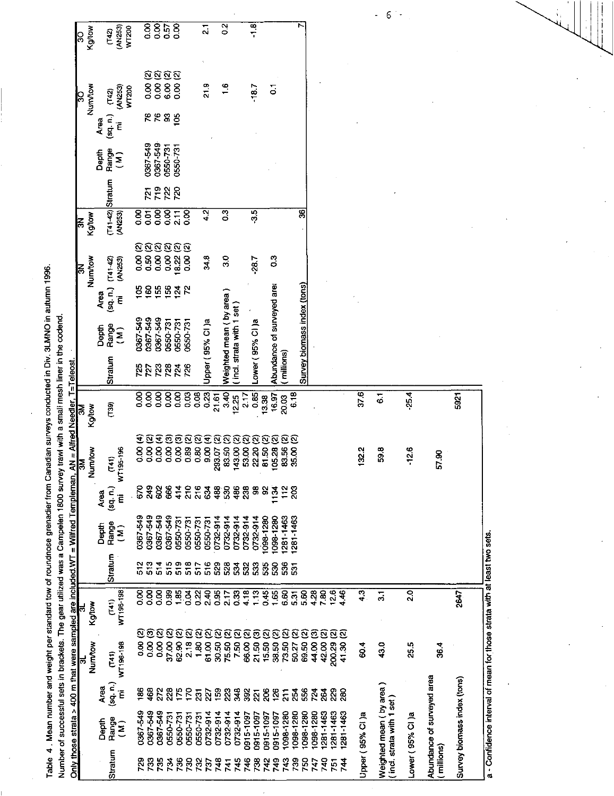|                                             | $T_{\rm eff}$                                                                                                  |
|---------------------------------------------|----------------------------------------------------------------------------------------------------------------|
|                                             |                                                                                                                |
|                                             |                                                                                                                |
|                                             |                                                                                                                |
|                                             |                                                                                                                |
|                                             |                                                                                                                |
|                                             |                                                                                                                |
|                                             |                                                                                                                |
|                                             |                                                                                                                |
|                                             |                                                                                                                |
| $\vdots$                                    | <b>Taxat</b>                                                                                                   |
|                                             |                                                                                                                |
|                                             |                                                                                                                |
|                                             |                                                                                                                |
|                                             |                                                                                                                |
|                                             |                                                                                                                |
|                                             |                                                                                                                |
|                                             |                                                                                                                |
|                                             |                                                                                                                |
|                                             |                                                                                                                |
|                                             |                                                                                                                |
|                                             |                                                                                                                |
|                                             |                                                                                                                |
|                                             |                                                                                                                |
|                                             |                                                                                                                |
|                                             |                                                                                                                |
|                                             |                                                                                                                |
|                                             |                                                                                                                |
|                                             |                                                                                                                |
|                                             |                                                                                                                |
|                                             |                                                                                                                |
|                                             |                                                                                                                |
|                                             |                                                                                                                |
|                                             |                                                                                                                |
|                                             |                                                                                                                |
|                                             |                                                                                                                |
|                                             |                                                                                                                |
|                                             |                                                                                                                |
|                                             |                                                                                                                |
|                                             |                                                                                                                |
|                                             |                                                                                                                |
|                                             |                                                                                                                |
|                                             |                                                                                                                |
|                                             |                                                                                                                |
|                                             |                                                                                                                |
|                                             |                                                                                                                |
|                                             |                                                                                                                |
| ; t(t;;;;;;;;t(i t;                         |                                                                                                                |
|                                             |                                                                                                                |
|                                             |                                                                                                                |
|                                             |                                                                                                                |
|                                             |                                                                                                                |
|                                             |                                                                                                                |
|                                             |                                                                                                                |
|                                             |                                                                                                                |
|                                             |                                                                                                                |
|                                             |                                                                                                                |
|                                             |                                                                                                                |
|                                             |                                                                                                                |
|                                             | Alle Schweizer der Berger der Berger der Berger der Berger der Berger der Berger der Berger der Berger der Ber |
|                                             |                                                                                                                |
|                                             |                                                                                                                |
|                                             |                                                                                                                |
|                                             |                                                                                                                |
| יומעה היינו המה היינו היינו היינו היינו המו | .<br>.<br>.                                                                                                    |
|                                             |                                                                                                                |
|                                             |                                                                                                                |
|                                             |                                                                                                                |
|                                             |                                                                                                                |

|                                                                     |     |               |       |                    |                         |            |                               |                      |                      |                             |                        |                                |                         |                          |                             |                                 |            |                 |                   |                            |                        |               |                             |            |                |             |             |                 | -<br>$\mathfrak b$                                | ÷,              |                            |                             |  |
|---------------------------------------------------------------------|-----|---------------|-------|--------------------|-------------------------|------------|-------------------------------|----------------------|----------------------|-----------------------------|------------------------|--------------------------------|-------------------------|--------------------------|-----------------------------|---------------------------------|------------|-----------------|-------------------|----------------------------|------------------------|---------------|-----------------------------|------------|----------------|-------------|-------------|-----------------|---------------------------------------------------|-----------------|----------------------------|-----------------------------|--|
|                                                                     | င္က | Kgitow        |       | (142)              | (AN253)<br><b>WT200</b> |            |                               |                      | 8850                 |                             |                        |                                | $\overline{\mathbf{a}}$ |                          | $\overline{2}$              |                                 |            | $\frac{1}{1}$   |                   |                            |                        |               |                             |            |                |             |             |                 |                                                   |                 |                            |                             |  |
|                                                                     |     |               |       |                    |                         |            | ତ୍ର<br>8.00                   | 0.00 (2)<br>6.00 (2) |                      | Q<br>8 <sub>o</sub>         |                        |                                | 21.9                    |                          | $\frac{6}{1}$               |                                 |            | $-18.7$         |                   | $\overline{\bullet}$       |                        |               |                             |            |                |             |             |                 |                                                   |                 |                            |                             |  |
|                                                                     | S   | <b>Boxtox</b> |       | (142)<br>(sq, n)   | (AN253)<br><b>WT200</b> |            | 668                           |                      |                      | 105                         |                        |                                |                         |                          |                             |                                 |            |                 |                   |                            |                        |               |                             |            |                |             |             |                 |                                                   |                 |                            |                             |  |
|                                                                     |     |               | Área  |                    | Έ                       |            |                               |                      |                      |                             |                        |                                |                         |                          |                             |                                 |            |                 |                   |                            |                        |               |                             |            |                |             |             |                 |                                                   |                 |                            |                             |  |
|                                                                     |     |               | Depth | Range              | $\overline{\mathbf{s}}$ |            | 0367-549                      | 0367-549             | 0550-731             | 0550-731                    |                        |                                |                         |                          |                             |                                 |            |                 |                   |                            |                        |               |                             |            |                |             |             |                 |                                                   |                 |                            |                             |  |
|                                                                     |     |               |       |                    |                         |            | 721                           | 719                  | 722                  | 720                         |                        |                                |                         |                          |                             |                                 |            |                 |                   |                            |                        |               |                             |            |                |             |             |                 |                                                   |                 |                            |                             |  |
|                                                                     | 돉   | Kgytow        |       | $(T41-42)$ Stratum | (AN253)                 | 83         | $\overline{5}$                | 0.00                 | $\frac{8}{2}$        | $\frac{1}{2}$               | $\frac{8}{9}$          |                                | 4.2                     |                          | 0.3                         |                                 |            | $-3.5$          |                   |                            |                        |               | g                           |            |                |             |             |                 |                                                   |                 |                            |                             |  |
|                                                                     | k   | Numtow        |       | $(741 - 42)$       | (AN253)                 | ତ୍ର<br>8,0 | 0.50                          | $\overline{8}$       | <u>ଉତ୍ତର</u><br>8.00 | 18.22                       | Q<br>8,0               |                                | 34.8                    |                          | es                          |                                 |            | $-28.7$         |                   | $\ddot{\circ}$             |                        |               |                             |            |                |             |             |                 |                                                   |                 |                            |                             |  |
|                                                                     |     |               | Área  | (sq. n.)           | Ē                       | <b>SO1</b> | 160                           | 155                  | 156                  | $\frac{5}{2}$ $\frac{2}{2}$ |                        |                                |                         |                          |                             |                                 |            |                 |                   |                            |                        |               |                             |            |                |             |             |                 |                                                   |                 |                            |                             |  |
|                                                                     |     |               | Depth | Range<br>(M)       |                         | 0367-549   | 0367-549                      | 0367-549             | 0550-731             | 0550-731                    | 0550-731               |                                | Upper (95% CI)a         |                          | Weighted mean (by area)     | incl. strata with 1 set)        |            | Lower (95% CI)a |                   | Abundance of surveyed area |                        |               | Survey biomass index (tons) |            |                |             |             |                 |                                                   |                 |                            |                             |  |
|                                                                     |     |               |       | Stratum            |                         | 725<br>727 |                               | 723                  | <b>RNA</b><br>RNA    |                             |                        |                                |                         |                          |                             |                                 |            |                 |                   |                            | (millions)             |               |                             |            |                |             |             |                 |                                                   |                 |                            |                             |  |
|                                                                     |     | Kgtow         |       | $\overline{139}$   |                         | 0.00       | $\overline{000}$              | $\overline{0.00}$    | 8 <sub>0</sub>       | 0.00                        | 0.03                   | 0.08                           | 0.23                    | 21.61                    | 3.40                        | 12.25                           | 2.17       | 0.85            | 3,38              | 16.97                      | 20.03                  | 6.18          |                             |            |                |             |             | 376             | $\tilde{\circ}$                                   | $-25.4$         |                            | 5921                        |  |
| AN = Alfred Needler, T=Teleost.<br>3M                               |     | Num/tow       |       | (T41)              | 95-196<br>Ę             | Ξ<br>80.0  | Q.<br>8.0                     | €<br>$\frac{1}{2}$   | ම<br>$\overline{8}$  | Ö<br>$\frac{8}{3}$          | $\Omega$<br>0.89       | $\mathbf{\widehat{z}}$<br>0.80 | €<br>$rac{8}{3}$        | $\overline{a}$<br>293.07 | Q<br>83.50                  | $\widehat{\mathbf{S}}$<br>43.00 | Q<br>53.00 | ତ୍ର<br>22.20    | Q<br>81.50        | <u>ର</u><br>05.28          | ø<br>83.56             | Ø<br>35.00    |                             |            |                |             |             | 1322            | 598                                               | $-12.6$         | 57.90                      |                             |  |
|                                                                     |     |               | Area  | (sq, n)            | Έ                       | 670        | 249                           | 8                    | 666                  | $rac{4}{4}$                 |                        | 2238                           |                         |                          | 530                         | 486                             | 238        | æ               | 8                 | 1134                       | 112                    | $\frac{8}{2}$ |                             |            |                |             |             |                 |                                                   |                 |                            |                             |  |
| = Wilfred Templeman,                                                |     |               | Depth | Range              | $\overline{\mathbf{z}}$ | 0367-549   | 0367-549                      | 0367-549             | 0367-549             | 0550-73                     | 0550-731               | 0550-731                       | 0550-731                | 0732-914                 | 0732-914                    | 0732-914                        | 0732-914   | 0732-914        | 098-1280          | 0981280                    | 12811463               | 281 1463      |                             |            |                |             |             |                 |                                                   |                 |                            |                             |  |
|                                                                     |     |               |       | Stratum            |                         |            | 513                           | 514                  | 515                  | 519                         | 518                    | 517                            | 516                     | 529                      | 528                         | ξŚ                              | 532        | 533             | 535               | នី                         | នី                     | ន៑            |                             |            |                |             |             |                 |                                                   |                 |                            |                             |  |
|                                                                     |     | Kg/tow        |       | (T41)              | WT196-198               | 8<br>o     | $\frac{8}{9}$                 | $\frac{8}{2}$        | 0.86                 |                             | 3 <sub>o</sub>         | 0.22                           | $2.40$<br>$0.95$        |                          | 2.17                        | 0.33                            | 4.18       | 1.13            | 0.45              | 1.65                       | 6.60                   | 5.31          | 5.60                        | 4.28       | 7.80           | 12.6        | 4.46        | $\frac{3}{4}$   | $\frac{1}{\omega}$                                | $\frac{0}{2}$   |                            | 2647                        |  |
| Only those strata > 400 m that were sampled are included. $W\Gamma$ |     | Num/tow       |       | (T41)              | WT196-198               | 8<br>0.00  | <u>ପ୍ରପ</u><br>8 <sub>0</sub> | 8,00                 | 37.00                | 62.90                       | <u> ବ୍ଦର ବ</u><br>2.18 | 1.80                           | ହ<br>61.00              | ହ<br>30.50               | <u>ତ୍ତ</u><br>75.50<br>7.50 |                                 | Q<br>66.00 | ම<br>21.50      | ହ<br>15.50        | Q<br>38.50                 | ହ<br>73.50             | ହ<br>50.27    | ହ<br>69.50                  | ම<br>44.00 | ତ୍ର<br>42.00   | ହ<br>200.29 | ିସ<br>41.30 | <b>804</b>      | 43.0                                              | 25.5            | 36.4                       |                             |  |
|                                                                     |     |               | Area  | (sq, n)            | Έ                       | 186        | 468                           | 272                  | 28                   | $\frac{175}{2}$             | š                      | $\overline{3}$                 | 227                     | ខ្ល                      | $\mathbf{z}^2$              | 348                             | 392        |                 | ភ្ថ $\frac{8}{8}$ | 126                        | $\overline{\tilde{z}}$ |               | នី នឹ                       | 24         | $\mathfrak{F}$ | 8           | 8           |                 |                                                   |                 |                            |                             |  |
|                                                                     |     |               | Depth | Range              | $\tilde{\mathbf{z}}$    | 0367-549   | 0367-549                      | 0367-549             | 0550-731             | 0550-731                    | 0550-731               | 0550-731                       | 0732-914                | 0732-914                 | 0732-914                    | 0732-914                        | 0915-1097  | 0915-1097       | 0915-1097         | 0915-1097                  | 1098-1280              | 1098-1280     | 1098-1280                   | 1098-1280  | 281-1463       | 281-1463    | 1281-1463   |                 | Neighted mean (by area)<br>ind. strata with 1 set |                 | Abundance of surveyed area | Survey biomass index (tons) |  |
|                                                                     |     |               |       | Stratum            |                         | 729        | $\frac{33}{2}$                | 735                  | 52                   | 736                         | 8                      | 732                            | 737                     | 748                      | 741                         | 745                             | 746        | 738             | 742               | 749                        | 743                    | 739           | š                           | 747        | 740            | 751         | 44          | Jpper (95% CI)a |                                                   | ower (95% CI )a | millions)                  |                             |  |

 $\frac{1}{a}$  - Confidence interval of mean for those strata with at least two sets.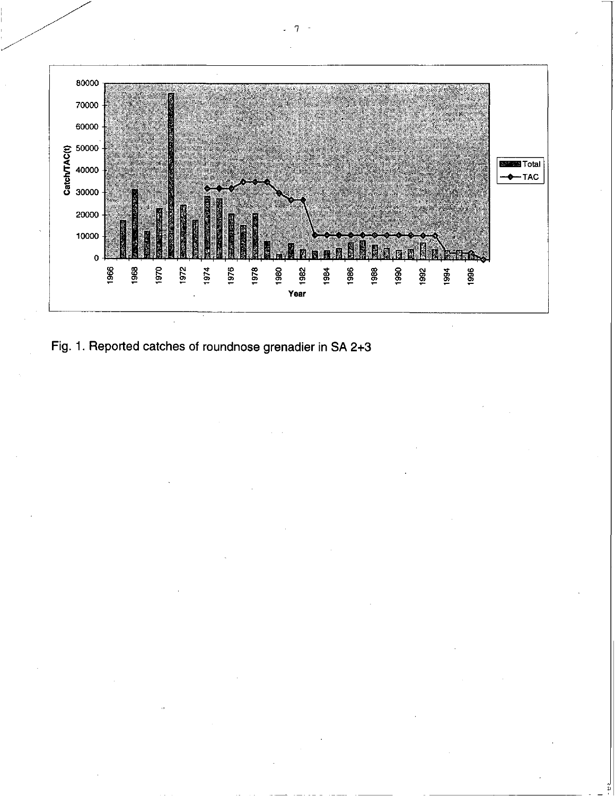

Fig. 1. Reported catches of roundnose grenadier in SA 2+3